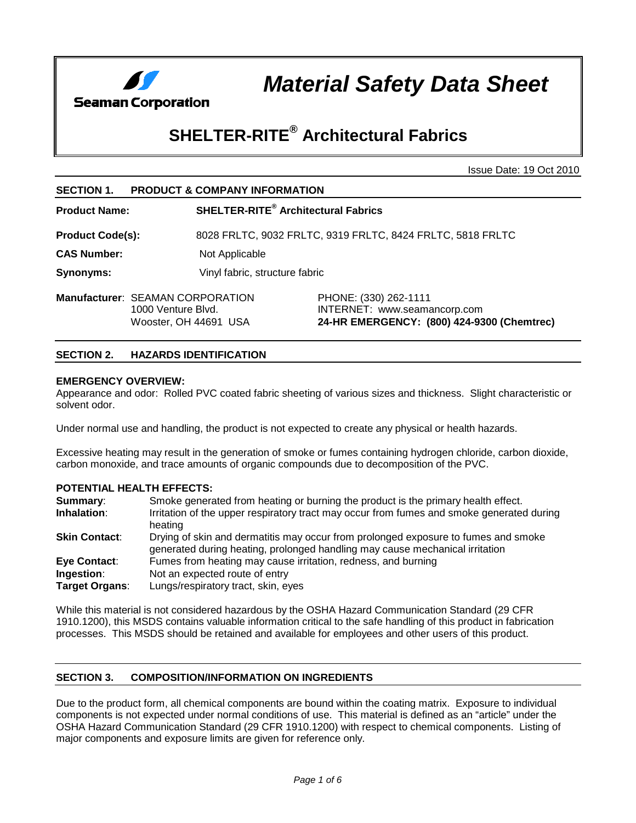

*Material Safety Data Sheet*

# **SHELTER-RITE® Architectural Fabrics**

Issue Date: 19 Oct 2010

| <b>SECTION 1.</b>                       | <b>PRODUCT &amp; COMPANY INFORMATION</b>    |                                                                                                     |  |  |
|-----------------------------------------|---------------------------------------------|-----------------------------------------------------------------------------------------------------|--|--|
| <b>Product Name:</b>                    |                                             | <b>SHELTER-RITE®</b> Architectural Fabrics                                                          |  |  |
| <b>Product Code(s):</b>                 |                                             | 8028 FRLTC, 9032 FRLTC, 9319 FRLTC, 8424 FRLTC, 5818 FRLTC                                          |  |  |
| <b>CAS Number:</b>                      | Not Applicable                              |                                                                                                     |  |  |
| <b>Synonyms:</b>                        |                                             | Vinyl fabric, structure fabric                                                                      |  |  |
| <b>Manufacturer: SEAMAN CORPORATION</b> | 1000 Venture Blvd.<br>Wooster, OH 44691 USA | PHONE: (330) 262-1111<br>INTERNET: www.seamancorp.com<br>24-HR EMERGENCY: (800) 424-9300 (Chemtrec) |  |  |

# **SECTION 2. HAZARDS IDENTIFICATION**

# **EMERGENCY OVERVIEW:**

Appearance and odor: Rolled PVC coated fabric sheeting of various sizes and thickness. Slight characteristic or solvent odor.

Under normal use and handling, the product is not expected to create any physical or health hazards.

Excessive heating may result in the generation of smoke or fumes containing hydrogen chloride, carbon dioxide, carbon monoxide, and trace amounts of organic compounds due to decomposition of the PVC.

## **POTENTIAL HEALTH EFFECTS:**

| <b>Summary:</b>      | Smoke generated from heating or burning the product is the primary health effect.                                                                                  |
|----------------------|--------------------------------------------------------------------------------------------------------------------------------------------------------------------|
| Inhalation:          | Irritation of the upper respiratory tract may occur from fumes and smoke generated during<br>heating                                                               |
| <b>Skin Contact:</b> | Drying of skin and dermatitis may occur from prolonged exposure to fumes and smoke<br>generated during heating, prolonged handling may cause mechanical irritation |
| Eye Contact:         | Fumes from heating may cause irritation, redness, and burning                                                                                                      |
| Ingestion:           | Not an expected route of entry                                                                                                                                     |
| Target Organs:       | Lungs/respiratory tract, skin, eyes                                                                                                                                |

While this material is not considered hazardous by the OSHA Hazard Communication Standard (29 CFR 1910.1200), this MSDS contains valuable information critical to the safe handling of this product in fabrication processes. This MSDS should be retained and available for employees and other users of this product.

# **SECTION 3. COMPOSITION/INFORMATION ON INGREDIENTS**

Due to the product form, all chemical components are bound within the coating matrix. Exposure to individual components is not expected under normal conditions of use. This material is defined as an "article" under the OSHA Hazard Communication Standard (29 CFR 1910.1200) with respect to chemical components. Listing of major components and exposure limits are given for reference only.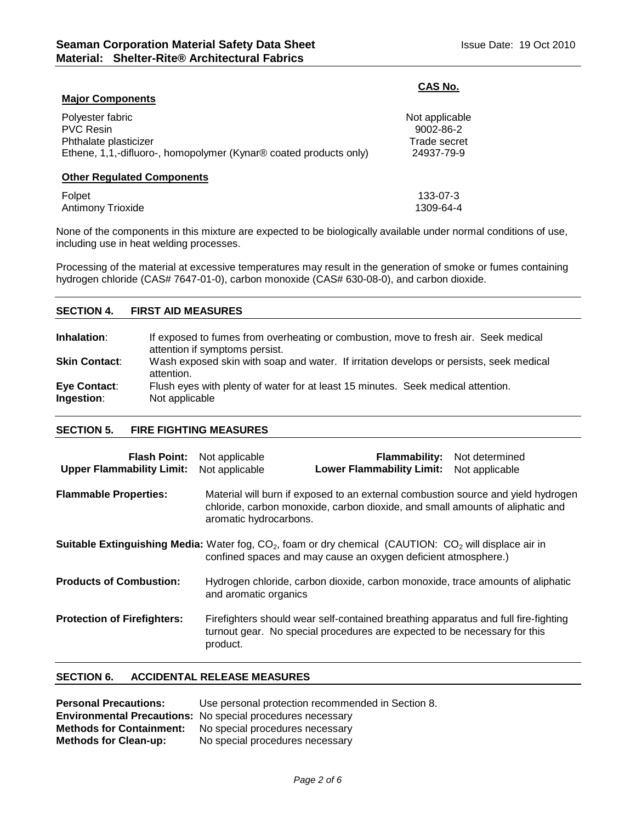**Major Components**

# **CAS No.**

| Polyester fabric                                                  | Not applicable |
|-------------------------------------------------------------------|----------------|
| <b>PVC Resin</b>                                                  | 9002-86-2      |
| Phthalate plasticizer                                             | Trade secret   |
| Ethene, 1,1,-difluoro-, homopolymer (Kynar® coated products only) | 24937-79-9     |
| <b>Other Regulated Components</b>                                 |                |
| Folpet                                                            | 133-07-3       |
| <b>Antimony Trioxide</b>                                          | 1309-64-4      |

None of the components in this mixture are expected to be biologically available under normal conditions of use, including use in heat welding processes.

Processing of the material at excessive temperatures may result in the generation of smoke or fumes containing hydrogen chloride (CAS# 7647-01-0), carbon monoxide (CAS# 630-08-0), and carbon dioxide.

# **SECTION 4. FIRST AID MEASURES Inhalation:** If exposed to fumes from overheating or combustion, move to fresh air. Seek medical attention if symptoms persist. **Skin Contact:** Wash exposed skin with soap and water. If irritation develops or persists, seek medical attention.

| Eye Contact: | Flush eyes with plenty of water for at least 15 minutes. Seek medical attention. |  |
|--------------|----------------------------------------------------------------------------------|--|
| Ingestion:   | Not applicable                                                                   |  |

# **SECTION 5. FIRE FIGHTING MEASURES**

| <b>Flash Point:</b> Not applicable<br><b>Upper Flammability Limit:</b>                                                                                                              | Not applicable                                                                                                                                                                               | <b>Flammability:</b> Not determined<br><b>Lower Flammability Limit:</b>                                                                                         | Not applicable |  |  |
|-------------------------------------------------------------------------------------------------------------------------------------------------------------------------------------|----------------------------------------------------------------------------------------------------------------------------------------------------------------------------------------------|-----------------------------------------------------------------------------------------------------------------------------------------------------------------|----------------|--|--|
| <b>Flammable Properties:</b>                                                                                                                                                        | Material will burn if exposed to an external combustion source and yield hydrogen<br>chloride, carbon monoxide, carbon dioxide, and small amounts of aliphatic and<br>aromatic hydrocarbons. |                                                                                                                                                                 |                |  |  |
| <b>Suitable Extinguishing Media:</b> Water fog, $CO2$ , foam or dry chemical (CAUTION: $CO2$ will displace air in<br>confined spaces and may cause an oxygen deficient atmosphere.) |                                                                                                                                                                                              |                                                                                                                                                                 |                |  |  |
| <b>Products of Combustion:</b>                                                                                                                                                      | Hydrogen chloride, carbon dioxide, carbon monoxide, trace amounts of aliphatic<br>and aromatic organics                                                                                      |                                                                                                                                                                 |                |  |  |
| <b>Protection of Firefighters:</b>                                                                                                                                                  | product.                                                                                                                                                                                     | Firefighters should wear self-contained breathing apparatus and full fire-fighting<br>turnout gear. No special procedures are expected to be necessary for this |                |  |  |

# **SECTION 6. ACCIDENTAL RELEASE MEASURES**

| <b>Personal Precautions:</b>    | Use personal protection recommended in Section 8.                 |
|---------------------------------|-------------------------------------------------------------------|
|                                 | <b>Environmental Precautions:</b> No special procedures necessary |
| <b>Methods for Containment:</b> | No special procedures necessary                                   |
| <b>Methods for Clean-up:</b>    | No special procedures necessary                                   |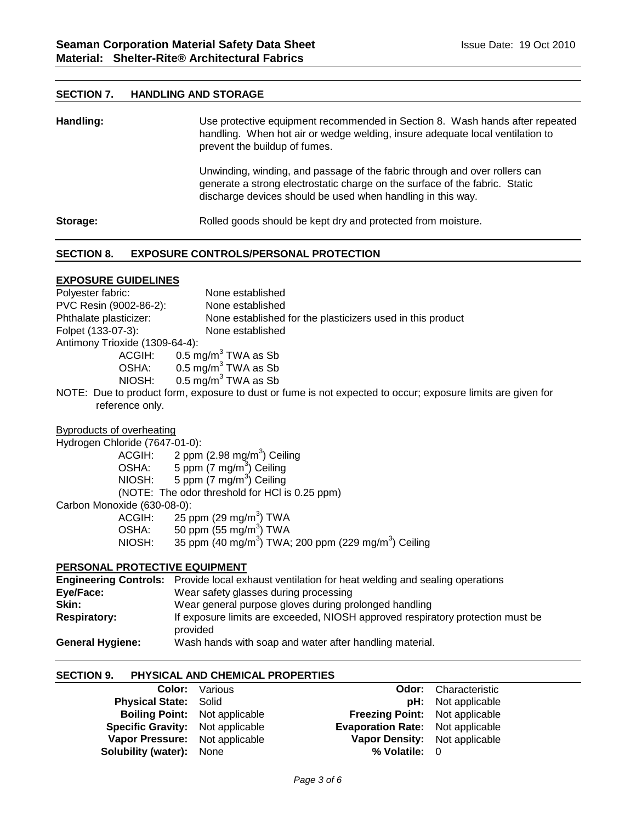# **SECTION 7. HANDLING AND STORAGE**

| Handling: | Use protective equipment recommended in Section 8. Wash hands after repeated<br>handling. When hot air or wedge welding, insure adequate local ventilation to<br>prevent the buildup of fumes.                           |  |  |
|-----------|--------------------------------------------------------------------------------------------------------------------------------------------------------------------------------------------------------------------------|--|--|
|           | Unwinding, winding, and passage of the fabric through and over rollers can<br>generate a strong electrostatic charge on the surface of the fabric. Static<br>discharge devices should be used when handling in this way. |  |  |
| Storage:  | Rolled goods should be kept dry and protected from moisture.                                                                                                                                                             |  |  |

# **SECTION 8. EXPOSURE CONTROLS/PERSONAL PROTECTION**

# **EXPOSURE GUIDELINES**

Polyester fabric: None established PVC Resin (9002-86-2): None established Phthalate plasticizer: None established for the plasticizers used in this product Folpet (133-07-3): None established Antimony Trioxide (1309-64-4): ACGIH:  $0.5 \text{ mg/m}^3$  TWA as Sb<br>OSHA:  $0.5 \text{ mg/m}^3$  TWA as Sb  $0.5$  mg/m<sup>3</sup> TWA as Sb NIOSH:  $0.5 \text{ mg/m}^3$  TWA as Sb NOTE: Due to product form, exposure to dust or fume is not expected to occur; exposure limits are given for reference only.

# Byproducts of overheating

Hydrogen Chloride (7647-01-0):

ACGIH: 2 ppm (2.98 mg/m<sup>3</sup>) Ceiling OSHA: 5 ppm (7 mg/m<sup>3</sup>) Ceiling NIOSH: 5 ppm (7 mg/m<sup>3</sup>) Ceiling (NOTE: The odor threshold for HCl is 0.25 ppm) Carbon Monoxide (630-08-0): ACGIH: 25 ppm (29 mg/m<sup>3</sup>) TWA OSHA:  $50$  ppm (55 mg/m $^3$ ) TWA NIOSH:  $35$  ppm (40 mg/m $^3$ ) TWA; 200 ppm (229 mg/m $^3$ ) Ceiling

#### **PERSONAL PROTECTIVE EQUIPMENT**

|                         | <b>Engineering Controls:</b> Provide local exhaust ventilation for heat welding and sealing operations |
|-------------------------|--------------------------------------------------------------------------------------------------------|
| Eye/Face:               | Wear safety glasses during processing                                                                  |
| Skin:                   | Wear general purpose gloves during prolonged handling                                                  |
| <b>Respiratory:</b>     | If exposure limits are exceeded, NIOSH approved respiratory protection must be<br>provided             |
| <b>General Hygiene:</b> | Wash hands with soap and water after handling material.                                                |

#### **SECTION 9. PHYSICAL AND CHEMICAL PROPERTIES**

|                                         | <b>Color:</b> Various |                                         | <b>Odor:</b> Characteristic |
|-----------------------------------------|-----------------------|-----------------------------------------|-----------------------------|
| <b>Physical State: Solid</b>            |                       |                                         | <b>pH:</b> Not applicable   |
| <b>Boiling Point:</b> Not applicable    |                       | <b>Freezing Point:</b> Not applicable   |                             |
| <b>Specific Gravity:</b> Not applicable |                       | <b>Evaporation Rate:</b> Not applicable |                             |
| Vapor Pressure: Not applicable          |                       | Vapor Density: Not applicable           |                             |
| <b>Solubility (water):</b> None         |                       | % Volatile: $\theta$                    |                             |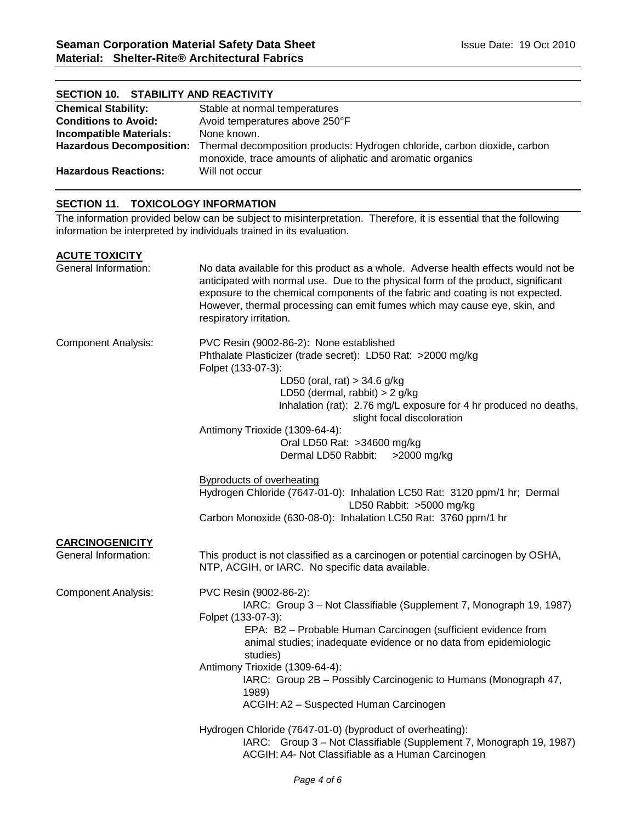| SECTION 10. STABILITY AND REACTIVITY |                                                                                                                                                                  |  |  |  |
|--------------------------------------|------------------------------------------------------------------------------------------------------------------------------------------------------------------|--|--|--|
| <b>Chemical Stability:</b>           | Stable at normal temperatures                                                                                                                                    |  |  |  |
| <b>Conditions to Avoid:</b>          | Avoid temperatures above 250°F                                                                                                                                   |  |  |  |
| <b>Incompatible Materials:</b>       | None known.                                                                                                                                                      |  |  |  |
|                                      | Hazardous Decomposition: Thermal decomposition products: Hydrogen chloride, carbon dioxide, carbon<br>monoxide, trace amounts of aliphatic and aromatic organics |  |  |  |
| Hazardous Reactions:                 | Will not occur                                                                                                                                                   |  |  |  |

# **SECTION 11. TOXICOLOGY INFORMATION**

The information provided below can be subject to misinterpretation. Therefore, it is essential that the following information be interpreted by individuals trained in its evaluation.

# **ACUTE TOXICITY**

| General Information:                           | No data available for this product as a whole. Adverse health effects would not be<br>anticipated with normal use. Due to the physical form of the product, significant<br>exposure to the chemical components of the fabric and coating is not expected.<br>However, thermal processing can emit fumes which may cause eye, skin, and<br>respiratory irritation.                                                             |
|------------------------------------------------|-------------------------------------------------------------------------------------------------------------------------------------------------------------------------------------------------------------------------------------------------------------------------------------------------------------------------------------------------------------------------------------------------------------------------------|
| <b>Component Analysis:</b>                     | PVC Resin (9002-86-2): None established<br>Phthalate Plasticizer (trade secret): LD50 Rat: >2000 mg/kg<br>Folpet (133-07-3):<br>LD50 (oral, rat) $>$ 34.6 g/kg<br>LD50 (dermal, rabbit) $>$ 2 g/kg<br>Inhalation (rat): 2.76 mg/L exposure for 4 hr produced no deaths,<br>slight focal discoloration<br>Antimony Trioxide (1309-64-4):                                                                                       |
|                                                | Oral LD50 Rat: >34600 mg/kg<br>Dermal LD50 Rabbit:<br>>2000 mg/kg                                                                                                                                                                                                                                                                                                                                                             |
|                                                | <b>Byproducts of overheating</b><br>Hydrogen Chloride (7647-01-0): Inhalation LC50 Rat: 3120 ppm/1 hr; Dermal<br>LD50 Rabbit: >5000 mg/kg<br>Carbon Monoxide (630-08-0): Inhalation LC50 Rat: 3760 ppm/1 hr                                                                                                                                                                                                                   |
| <b>CARCINOGENICITY</b><br>General Information: | This product is not classified as a carcinogen or potential carcinogen by OSHA,<br>NTP, ACGIH, or IARC. No specific data available.                                                                                                                                                                                                                                                                                           |
| <b>Component Analysis:</b>                     | PVC Resin (9002-86-2):<br>IARC: Group 3 - Not Classifiable (Supplement 7, Monograph 19, 1987)<br>Folpet (133-07-3):<br>EPA: B2 - Probable Human Carcinogen (sufficient evidence from<br>animal studies; inadequate evidence or no data from epidemiologic<br>studies)<br>Antimony Trioxide (1309-64-4):<br>IARC: Group 2B - Possibly Carcinogenic to Humans (Monograph 47,<br>1989)<br>ACGIH: A2 - Suspected Human Carcinogen |
|                                                | Hydrogen Chloride (7647-01-0) (byproduct of overheating):<br>IARC: Group 3 - Not Classifiable (Supplement 7, Monograph 19, 1987)<br>ACGIH: A4- Not Classifiable as a Human Carcinogen                                                                                                                                                                                                                                         |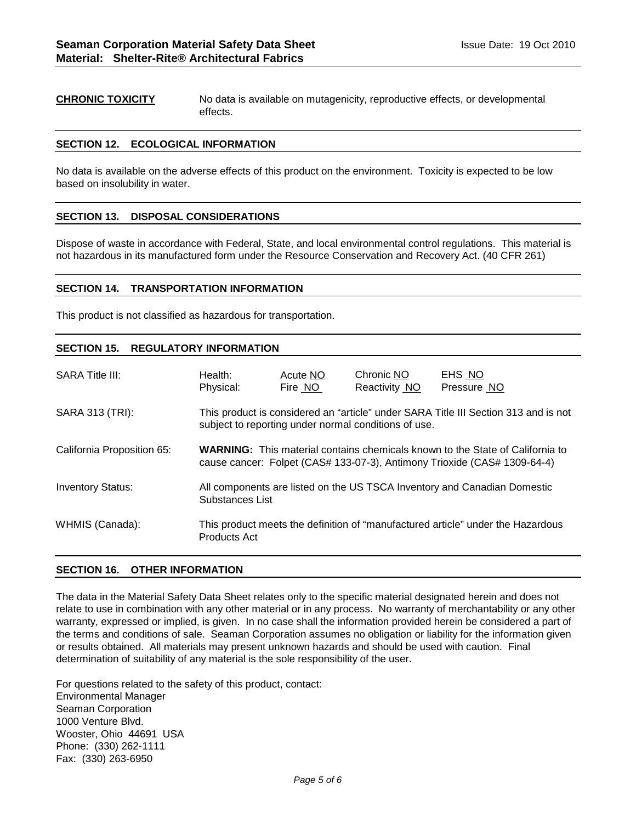**CHRONIC TOXICITY** No data is available on mutagenicity, reproductive effects, or developmental effects.

#### **SECTION 12. ECOLOGICAL INFORMATION**

No data is available on the adverse effects of this product on the environment. Toxicity is expected to be low based on insolubility in water.

#### **SECTION 13. DISPOSAL CONSIDERATIONS**

Dispose of waste in accordance with Federal, State, and local environmental control regulations. This material is not hazardous in its manufactured form under the Resource Conservation and Recovery Act. (40 CFR 261)

#### **SECTION 14. TRANSPORTATION INFORMATION**

This product is not classified as hazardous for transportation.

#### **SECTION 15. REGULATORY INFORMATION**

| <b>SARA Title III:</b>     | Health:<br>Physical:                                                                                                                                             | Acute NO<br>Fire NO | Chronic NO<br>Reactivity NO | EHS NO<br>Pressure NO |  |
|----------------------------|------------------------------------------------------------------------------------------------------------------------------------------------------------------|---------------------|-----------------------------|-----------------------|--|
| SARA 313 (TRI):            | This product is considered an "article" under SARA Title III Section 313 and is not<br>subject to reporting under normal conditions of use.                      |                     |                             |                       |  |
| California Proposition 65: | <b>WARNING:</b> This material contains chemicals known to the State of California to<br>cause cancer: Folpet (CAS# 133-07-3), Antimony Trioxide (CAS# 1309-64-4) |                     |                             |                       |  |
| <b>Inventory Status:</b>   | All components are listed on the US TSCA Inventory and Canadian Domestic<br>Substances List                                                                      |                     |                             |                       |  |
| WHMIS (Canada):            | This product meets the definition of "manufactured article" under the Hazardous<br><b>Products Act</b>                                                           |                     |                             |                       |  |

#### **SECTION 16. OTHER INFORMATION**

The data in the Material Safety Data Sheet relates only to the specific material designated herein and does not relate to use in combination with any other material or in any process. No warranty of merchantability or any other warranty, expressed or implied, is given. In no case shall the information provided herein be considered a part of the terms and conditions of sale. Seaman Corporation assumes no obligation or liability for the information given or results obtained. All materials may present unknown hazards and should be used with caution. Final determination of suitability of any material is the sole responsibility of the user.

For questions related to the safety of this product, contact: Environmental Manager Seaman Corporation 1000 Venture Blvd. Wooster, Ohio 44691 USA Phone: (330) 262-1111 Fax: (330) 263-6950